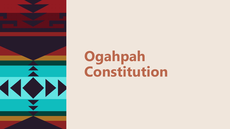

# **Ogahpah Constitution**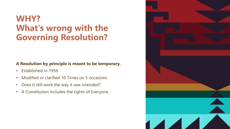### **WHY? What's wrong with the Governing Resolution?**

### **A Resolution by principle is meant to be temporary.**

- Established in 1956
- Modified or clarified 10 Times on 5 occasions
- Does it still work the way it was intended?
- A Constitution includes the rights of Everyone

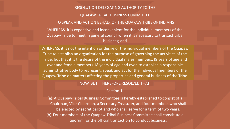### RESOLUTION DELEGATING AUTHORITY TO THE QUAPAW TRIBAL BUSINESS COMMITTEE TO SPEAK AND ACT ON BEHALF OF THE QUAPAW TRIBE OF INDIANS

WHEREAS. it is expensive and inconvenient for the individual members of the Quapaw Tribe to meet in general council when it is necessary to transact tribal business; and

WHEREAS, it is not the intention or desire of the individual members of the Quapaw Tribe to establish an organization for the purpose of governing the activities of the Tribe, but that it is the desire of the individual males members, I8 years of age and over and female members 18 years of age and over, to establish a responsible administrative body to represent, speak and act for the individual members of the Quapaw Tribe on matters affecting the properties and general business of the Tribe.

#### NOW, BE IT THEREFORE RESOLVED THAT:

#### Section 1:

(a) A Quapaw Tribal Business Committee is hereby established to consist of a Chairman, Vice-Chairman, a Secretary-Treasurer, and four members who shall be elected by secret ballot and who shall serve for a term of two years. (b) Four members of the Quapaw Tribal Business Committee shall constitute a quorum for the official transaction to conduct business.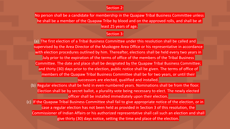#### Section 2:

No person shall be a candidate for membership in the Quapaw Tribal Business Committee unless he shall be a member of the Quapaw Tribe by blood and on the approved rolls, and shall be at least 25 years of age.

#### Section 3:

(a) The first election of a Tribal Business Committee under this resolution shall be called and supervised by the Area Director of the Muskogee Area Office or his representative in accordance with election procedures outlined by him. Thereafter, elections shall be held every two years in July prior to the expiration of the terms of office of the members of the Tribal Business Committee. The date and place shall be designated by the Quapaw Tribal Business Committee; and thirty (30) days prior to the election, public notice shall be given. The terms of office of members of the Quapaw Tribal Business Committee shall be for two years, or until their successors are elected, qualified and installed.

- (b) Regular elections shall be held in even-numbered years. Nominations shall be from the floor. Election shall be by secret ballot, a plurality vote being necessary to elect. The newly elected officer shall be installed immediately upon their election.
- If the Quapaw Tribal Business Committee shall fail to give appropriate notice of the election, or in case a regular election has not been held as provided in Section 3 of this resolution, the Commissioner of Indian Affairs or his authorized representative shall call such an election and shall give thirty (30) days notice, setting the time and place of the election.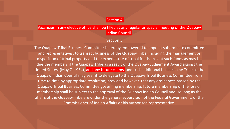#### Section 4:

#### Vacancies in any elective office shall be filled at any regular or special meeting of the Quapaw Indian Council.

Section 5:

The Quapaw Tribal Business Committee is hereby empowered to appoint subordinate committee and representatives; to transact business of the Quapaw Tribe, including the management or disposition of tribal property and the expenditure of tribal funds, except such funds as may be due the members if the Quapaw Tribe as a result of the Quapaw Judgement Award against the United States, (May 7, 1954), and any future claims, and such additional business the Tribe as the Quapaw Indian Council may see fit to delegate to the Quapaw Tribal Business Committee from time to time by appropriate resolution; provided however, that any ordinances passed by the Quapaw Tribal Business Committee governing membership, future membership or the loss of membership shall be subject to the approval of the Quapaw Indian Council and, so long as the affairs of the Quapaw Tribe are under the general supervision of the Federal Government, of the Commissioner of Indian Affairs or his authorized representative.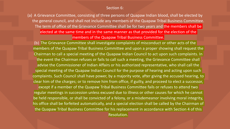#### Section 6:

(a) A Grievance Committee, consisting of three persons of Quapaw Indian blood, shall be elected by the general council, and shall not include any members of the Quapaw Tribal Business Committee. The term of office of the Grievance Committee shall be for two years and the members shall be elected at the same time and in the same manner as that provided for the election of the members of the Quapaw Tribal Business Committee.

(b) The Grievance Committee shall investigate complaints of misconduct or other acts of the members of the Quapaw Tribal Business Committee and upon a proper showing shall request the Chairman to call a special meeting of the Quapaw Indian Council to act upon such complaints. In the event the Chairman refuses or fails to call such a meeting, the Grievance Committee shall advise the Commissioner of Indian Affairs or his authorized representative, who shall call the special meeting of the Quapaw Indian Council for the purpose of hearing and acting upon such complaints. Such Council shall have power, by a majority vote, after giving the accused hearing, to clear him of the charges; or to remove him from office, if guilty, and proceed to elect a successor, except if a member of the Quapaw Tribal Business Committee fails or refuses to attend two regular meetings in succession unless excused due to illness or other causes for which he cannot be held responsible, or shall be convicted of a felony, or a misdemeanor involving moral integrity, his office shall be forfeited automatically, and a special election shall be called by the Chairman of the Quapaw Tribal Business Committee for his replacement in accordance with Section 4 of this Resolution.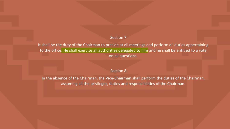#### Section 7:

It shall be the duty of the Chairman to preside at all meetings and perform all duties appertaining to the office. He shall exercise all authorities delegated to him and he shall be entitled to a vote on all questions.

#### Section 8:

In the absence of the Chairman, the Vice-Chairman shall perform the duties of the Chairman, assuming all the privileges, duties and responsibilities of the Chairman.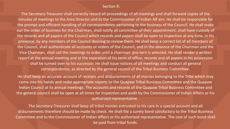#### Section 9:

The Secretary-Treasurer shall correctly record all proceedings of all meetings and shall forward copies of the minutes of meetings to the Area Director and to the Commissioner of Indian Alf airs. He shall be responsible for the prompt and efficient handling of all correspondence pertaining to the business of the Council. He shall make out the order of business for the Chairman, shall notify all committee of their appointment; shall have custody of the records and all papers of the Council which records and papers shall be open to inspection at any time, in his presence, by any members of the Council desiring to review them. He shall keep a correct list of all members of the Council, shall authenticate all accounts or orders of the Council, and in the absence of the Chairman and the Vice Chairman, shall call the meetings to order until a chairman ·pro-tern is selected. He shall render a written report at the annual meeting and at the expiration of his term of office, records and all papers in his possession shall be turned over to his successor. He shall issue notices of all meetings and conduct all general correspondence, as directed by the general council of the Tribal Business Committee.

He shall keep an accurate account of receipts and disbursements of all monies belonging to the Tribe which may come into his hands and make appropriate reports to the Quapaw Tribal Business Committee and the Quapaw Indian Council at its annual meetings. The accounts and records of the Quapaw Tribal Business Committee and the general council shall be open at all times for inspection and audit by the Commissioner of Indian Affairs or his authorized representative .

The Secretary-Treasurer shall keep all tribal monies entrusted to his care in a special account and all disbursements therefore should be made by check. He shall file a surety bond satisfactory to the Tribal Business Committee and to the Commissioner of Indian Affairs or his authorized representative. The cost of such bond shall be paid from tribal funds.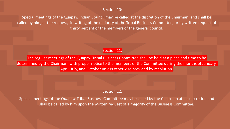#### Section 10:

Special meetings of the Quapaw Indian Council may be called at the discretion of the Chairman, and shall be called by him, at the request, in writing of the majority of the Tribal Business Committee, or by written request of thirty percent of the members of the general council.

#### Section 11:

The regular meetings of the Quapaw Tribal Business Committee shall be held at a place and time to be determined by the Chairman, with proper notice to the members of the Committee during the months of January, April, July, and October unless otherwise provided by resolution.

#### Section 12:

Special meetings of the Quapaw Tribal Business Committee may be called by the Chairman at his discretion and shall be called by him upon the written request of a majority of the Business Committee.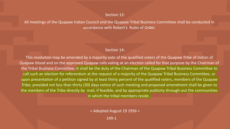#### Section 13:

All meetings of the Quapaw Indian Council and the Quapaw Tribal Business Committee shall be conducted in accordance with Robert's Rules of Order.

#### Section 14:

This resolution may be amended by a majority vote of the qualified voters of the Quapaw Tribe of Indian of Quapaw blood and on the approved Quapaw rolls voting at an election called for that purpose by the Chairman of the Tribal Business Committee. It shall be the duty of the Chairman of the Quapaw Tribal Business Committee to call such an election for referendum at the request of a majority of the Quapaw Tribal Business Committee, or upon presentation of a petition signed by at least thirty percent of the qualified voters, members of the Quapaw Tribe; provided not less than thirty (30) days notice of such meeting and proposed amendment shall be given to the members of the Tribe directly by mail, if feasible, and by appropriate publicity through-out the communities in which the tribal members reside .

 $=$  Adopted August 19 1956 =

149-1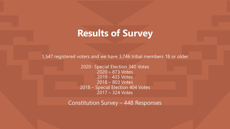### **Results of Survey**

1,547 registered voters and we have 3,746 tribal members 18 or older

2020- Special Election 340 Votes 2020 – 873 Votes 2019 - 433 Votes 2018 – 803 Votes 2018 – Special Election 404 Votes 2017 – 324 Votes

Constitution Survey – 448 Responses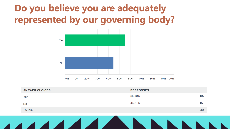### **Do you believe you are adequately represented by our governing body?**



| <b>ANSWER CHOICES</b> | <b>RESPONSES</b> |     |
|-----------------------|------------------|-----|
| Yes                   | 55.49%           | 197 |
| No                    | 44.51%           | 158 |
| <b>TOTAL</b>          |                  | 355 |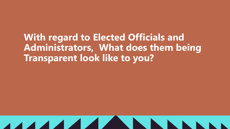**With regard to Elected Officials and Administrators, What does them being Transparent look like to you?**

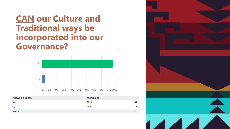**CAN our Culture and Traditional ways be incorporated into our Governance?**



| <b>ANSWER CHOICES</b> | <b>RESPONSES</b> |     |
|-----------------------|------------------|-----|
| Yes                   | 94.96%           | 339 |
| <b>No</b>             | 5.04%            | 18  |
| <b>TOTAL</b>          |                  | 357 |

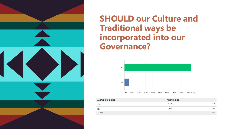

**SHOULD our Culture and Traditional ways be incorporated into our Governance?**



| <b>ANSWER CHOICES</b> | <b>RESPONSES</b> |     |
|-----------------------|------------------|-----|
| Yes                   | 94.12%           | 336 |
| <b>No</b>             | 5.88%            | 21  |
| <b>TOTAL</b>          |                  | 357 |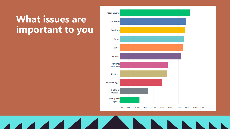### **What issues are important to you**

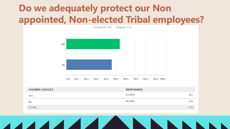### **Do we adequately protect our Non appointed, Non-elected Tribal employees?**



| <b>ANSWER CHOICES</b> | <b>RESPONSES</b> |     |
|-----------------------|------------------|-----|
| Yes                   | 53.96%           | 150 |
| <b>No</b>             | 46.04%           | 128 |
| <b>TOTAL</b>          |                  | 278 |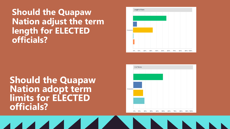### **Should the Quapaw Nation adjust the term length for ELECTED officials?**

**Should the Quapaw Nation adopt term limits for ELECTED officials?**



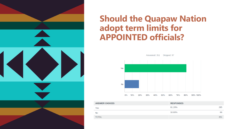

### **Should the Quapaw Nation adopt term limits for APPOINTED officials?**



| <b>ANSWER CHOICES</b> | <b>RESPONSES</b> |     |
|-----------------------|------------------|-----|
| Yes                   | 81.20%           | 285 |
| <b>No</b>             | 18.80%           | 66  |
| <b>TOTAL</b>          |                  | 351 |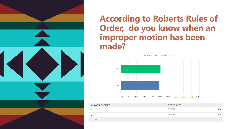**According to Roberts Rules of Order, do you know when an improper motion has been made?**Answered: 363 Skipped: 85 Yes



| <b>ANSWER CHOICES</b> | <b>RESPONSES</b> |     |
|-----------------------|------------------|-----|
| Yes                   | 50.69%           | 184 |
| No                    | 49.31%           | 179 |
| <b>TOTAL</b>          |                  | 363 |
|                       |                  |     |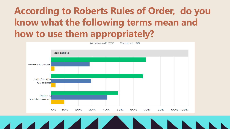## **According to Roberts Rules of Order, do you know what the following terms mean and how to use them appropriately?**

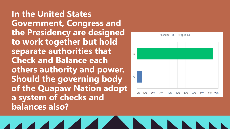**In the United States Government, Congress and the Presidency are designed to work together but hold separate authorities that Check and Balance each others authority and power. Should the governing body of the Quapaw Nation adopt a system of checks and balances also?**

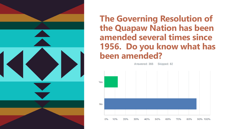

### **The Governing Resolution of the Quapaw Nation has been amended several times since 1956. Do you know what has been amended?**

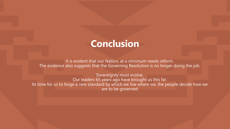### **Conclusion**

It is evident that our Nation, at a minimum needs reform. The evidence also suggests that the Governing Resolution is no longer doing the job.

Sovereignty must evolve. Our leaders 65 years ago have brought us this far. Its time for us to forge a new standard by which we live where we, the people decide how we are to be governed